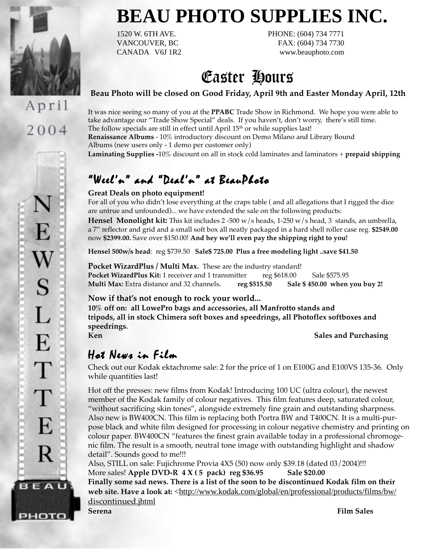

2004

# **BEAU PHOTO SUPPLIES INC.**

1520 W. 6TH AVE. PHONE: (604) 734 7771 VANCOUVER, BC FAX: (604) 734 7730 CANADA V6J 1R2 www.beauphoto.com

## Easter Hours

### **Beau Photo will be closed on Good Friday, April 9th and Easter Monday April, 12th**

It was nice seeing so many of you at the **PPABC** Trade Show in Richmond. We hope you were able to take advantage our "Trade Show Special" deals. If you haven't, don't worry, there's still time. The follow specials are still in effect until April 15<sup>th</sup> or while supplies last! **Renaissance Albums** - 10% introductory discount on Demo Milano and Library Bound Albums (new users only - 1 demo per customer only) **Laminating Supplies -**10% discount on all in stock cold laminates and laminators + **prepaid shipping**

### "Weel'n" and "Deal'n" at BeauPhoto

### **Great Deals on photo equipment!**

For all of you who didn't lose everything at the craps table ( and all allegations that I rigged the dice are untrue and unfounded)... we have extended the sale on the following products:

**Hensel Monolight kit:** This kit includes 2 -500 w/s heads, 1-250 w/s head, 3 stands, an umbrella, a 7" reflector and grid and a small soft box all neatly packaged in a hard shell roller case reg. **\$2549.00** now **\$2399.00.** Save over \$150.00! **And hey we'll even pay the shipping right to you!**

**Hensel 500w/s head**: reg \$739.50 **Sale\$ 725.00 Plus a free modeling light ..save \$41.50**

Pocket WizardPlus / Multi Max. These are the industry standard! **Pocket WizardPlus Kit:** 1 receiver and 1 transmitter reg \$618.00 Sale \$575.95 **Multi Max:** Extra distance and 32 channels**. reg \$515.50 Sale \$ 450.00 when you buy 2!**

### **Now if that's not enough to rock your world...**

**10% off on: all LowePro bags and accessories, all Manfrotto stands and tripods, all in stock Chimera soft boxes and speedrings, all Photoflex softboxes and speedrings. Ken** Sales and Purchasing

### Hot News in Film

Check out our Kodak ektachrome sale: 2 for the price of 1 on E100G and E100VS 135-36. Only while quantities last!

Hot off the presses: new films from Kodak! Introducing 100 UC (ultra colour), the newest member of the Kodak family of colour negatives. This film features deep, saturated colour, "without sacrificing skin tones", alongside extremely fine grain and outstanding sharpness. Also new is BW400CN. This film is replacing both Portra BW and T400CN. It is a multi-purpose black and white film designed for processing in colour negative chemistry and printing on colour paper. BW400CN "features the finest grain available today in a professional chromogenic film. The result is a smooth, neutral tone image with outstanding highlight and shadow detail". Sounds good to me!!!

Also, STILL on sale: Fujichrome Provia 4X5 (50) now only \$39.18 (dated 03/2004)!!! More sales! **Apple DVD-R 4 X (5 pack) reg \$36.95** Sale \$20.00 **Finally some sad news. There is a list of the soon to be discontinued Kodak film on their** web site. Have a look at: <http://www.kodak.com/global/en/professional/products/films/bw/ discontinued.jhtml

рното

**Serena Film Sales**